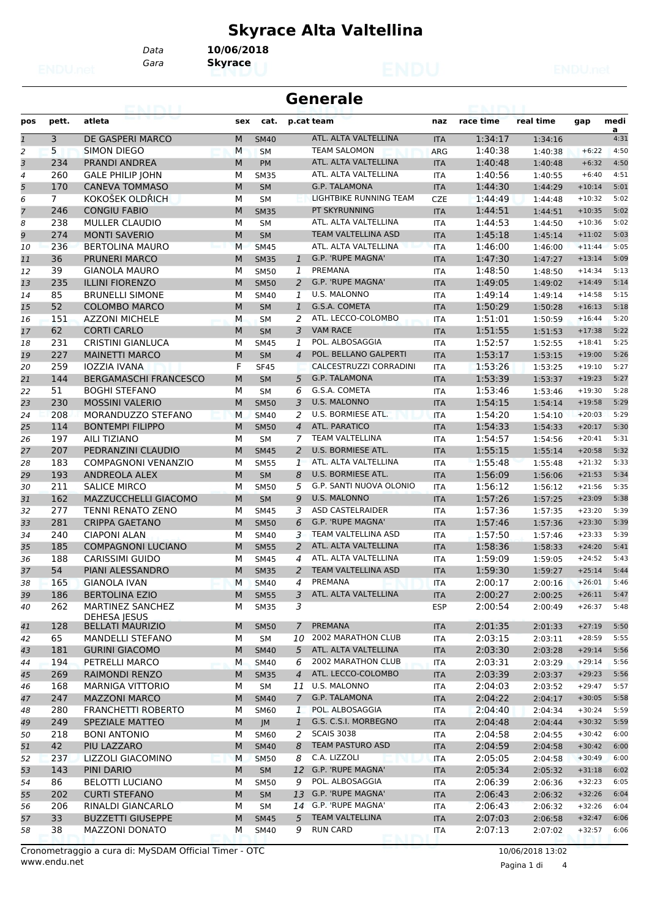## **Skyrace Alta Valtellina**

*Gara* **Skyrace** *Data* **10/06/2018**

|     |       |                  |                  | <b>Generale</b>      |            |           |           |      |      |
|-----|-------|------------------|------------------|----------------------|------------|-----------|-----------|------|------|
| pos | pett. | atleta           | sex              | cat. p.cat team      | naz        | race time | real time | qap  | medi |
|     |       | DE GASPERI MARCO | M<br><b>SM40</b> | ATL. ALTA VALTELLINA | <b>ITA</b> | 1:34:17   | 1:34:16   |      | 4:3  |
|     |       | CIMON DIECO      | <b>M</b><br>CM   | <b>TEAM CALOMON</b>  | ADC        | 1.10.20   | 1.40.20   | 6.22 | A.E  |

|              |                |                              |   |             |                |                            |            |         |         |          | a    |
|--------------|----------------|------------------------------|---|-------------|----------------|----------------------------|------------|---------|---------|----------|------|
| $\mathbf{1}$ | 3              | DE GASPERI MARCO             | M | <b>SM40</b> |                | ATL. ALTA VALTELLINA       | <b>ITA</b> | 1:34:17 | 1:34:16 |          | 4:31 |
| 2            | 5              | SIMON DIEGO                  | M | <b>SM</b>   |                | <b>TEAM SALOMON</b>        | <b>ARG</b> | 1:40:38 | 1:40:38 | $+6:22$  | 4:50 |
| 3            | 234            | <b>PRANDI ANDREA</b>         | M | <b>PM</b>   |                | ATL. ALTA VALTELLINA       | <b>ITA</b> | 1:40:48 | 1:40:48 | $+6:32$  | 4:50 |
| 4            | 260            | <b>GALE PHILIP JOHN</b>      | М | <b>SM35</b> |                | ATL. ALTA VALTELLINA       | <b>ITA</b> | 1:40:56 | 1:40:55 | $+6:40$  | 4:51 |
| 5            | 170            | <b>CANEVA TOMMASO</b>        | M | <b>SM</b>   |                | <b>G.P. TALAMONA</b>       | <b>ITA</b> | 1:44:30 | 1:44:29 | $+10:14$ | 5:01 |
| 6            | $\overline{7}$ | KOKOŠEK OLDŘICH              | М | <b>SM</b>   |                | LIGHTBIKE RUNNING TEAM     | <b>CZE</b> | 1:44:49 | 1:44:48 | $+10:32$ | 5:02 |
| 7            | 246            | <b>CONGIU FABIO</b>          | M | <b>SM35</b> |                | PT SKYRUNNING              | <b>ITA</b> | 1:44:51 | 1:44:51 | $+10:35$ | 5:02 |
| 8            | 238            | <b>MULLER CLAUDIO</b>        | М | <b>SM</b>   |                | ATL. ALTA VALTELLINA       | <b>ITA</b> | 1:44:53 | 1:44:50 | $+10:36$ | 5:02 |
| 9            | 274            | <b>MONTI SAVERIO</b>         | M | <b>SM</b>   |                | TEAM VALTELLINA ASD        | <b>ITA</b> | 1:45:18 | 1:45:14 | $+11:02$ | 5:03 |
| 10           | 236            | <b>BERTOLINA MAURO</b>       | M | <b>SM45</b> |                | ATL. ALTA VALTELLINA       | <b>ITA</b> | 1:46:00 | 1:46:00 | $+11:44$ | 5:05 |
| 11           | 36             | <b>PRUNERI MARCO</b>         | M | <b>SM35</b> | $\mathbf{1}$   | G.P. 'RUPE MAGNA'          | <b>ITA</b> | 1:47:30 | 1:47:27 | $+13:14$ | 5:09 |
| 12           | 39             | <b>GIANOLA MAURO</b>         | М | <b>SM50</b> | 1              | PREMANA                    | <b>ITA</b> | 1:48:50 | 1:48:50 | $+14:34$ | 5:13 |
| 13           | 235            | <b>ILLINI FIORENZO</b>       | M | <b>SM50</b> | 2              | G.P. 'RUPE MAGNA'          | <b>ITA</b> | 1:49:05 | 1:49:02 | $+14:49$ | 5:14 |
| 14           | 85             | <b>BRUNELLI SIMONE</b>       | М | SM40        | $\mathbf{1}$   | <b>U.S. MALONNO</b>        | <b>ITA</b> | 1:49:14 | 1:49:14 | $+14:58$ | 5:15 |
| 15           | 52             | <b>COLOMBO MARCO</b>         | M | <b>SM</b>   | $\mathbf{1}$   | G.S.A. COMETA              | <b>ITA</b> | 1:50:29 | 1:50:28 | $+16:13$ | 5:18 |
| 16           | 151            | <b>AZZONI MICHELE</b>        | M | <b>SM</b>   | 2              | ATL. LECCO-COLOMBO         | <b>ITA</b> | 1:51:01 | 1:50:59 | $+16:44$ | 5:20 |
| 17           | 62             | <b>CORTI CARLO</b>           | M | <b>SM</b>   | 3              | <b>VAM RACE</b>            | <b>ITA</b> | 1:51:55 | 1:51:53 | $+17:38$ | 5:22 |
| 18           | 231            | <b>CRISTINI GIANLUCA</b>     | М | <b>SM45</b> | 1              | POL. ALBOSAGGIA            | <b>ITA</b> | 1:52:57 | 1:52:55 | $+18:41$ | 5:25 |
| 19           | 227            | <b>MAINETTI MARCO</b>        | M | <b>SM</b>   | $\overline{4}$ | POL. BELLANO GALPERTI      | <b>ITA</b> | 1:53:17 | 1:53:15 | $+19:00$ | 5:26 |
| 20           | 259            | <b>IOZZIA IVANA</b>          | F | <b>SF45</b> |                | CALCESTRUZZI CORRADINI     | <b>ITA</b> | 1:53:26 | 1:53:25 | $+19:10$ | 5:27 |
| 21           | 144            | <b>BERGAMASCHI FRANCESCO</b> | M | <b>SM</b>   | 5              | <b>G.P. TALAMONA</b>       | <b>ITA</b> | 1:53:39 | 1:53:37 | $+19:23$ | 5:27 |
| 22           | 51             | <b>BOGHI STEFANO</b>         | М | <b>SM</b>   | 6              | G.S.A. COMETA              | <b>ITA</b> | 1:53:46 | 1:53:46 | $+19:30$ | 5:28 |
| 23           | 230            | <b>MOSSINI VALERIO</b>       | M | <b>SM50</b> | 3              | <b>U.S. MALONNO</b>        | <b>ITA</b> | 1:54:15 | 1:54:14 | $+19:58$ | 5:29 |
| 24           | 208            | MORANDUZZO STEFANO           | M | <b>SM40</b> | 2              | U.S. BORMIESE ATL.         | <b>ITA</b> | 1:54:20 | 1:54:10 | $+20:03$ | 5:29 |
| 25           | 114            | <b>BONTEMPI FILIPPO</b>      | M | <b>SM50</b> | $\overline{4}$ | <b>ATL. PARATICO</b>       | <b>ITA</b> | 1:54:33 | 1:54:33 | $+20:17$ | 5:30 |
| 26           | 197            | <b>AILI TIZIANO</b>          | М | <b>SM</b>   | 7              | <b>TEAM VALTELLINA</b>     | <b>ITA</b> | 1:54:57 | 1:54:56 | $+20:41$ | 5:31 |
| 27           | 207            | PEDRANZINI CLAUDIO           | M | <b>SM45</b> | 2              | <b>U.S. BORMIESE ATL.</b>  | <b>ITA</b> | 1:55:15 | 1:55:14 | $+20:58$ | 5:32 |
| 28           | 183            | <b>COMPAGNONI VENANZIO</b>   | M | <b>SM55</b> | 1              | ATL. ALTA VALTELLINA       | <b>ITA</b> | 1:55:48 | 1:55:48 | $+21:32$ | 5:33 |
| 29           | 193            | ANDREOLA ALEX                | M | <b>SM</b>   | 8              | <b>U.S. BORMIESE ATL.</b>  | <b>ITA</b> | 1:56:09 | 1:56:06 | $+21:53$ | 5:34 |
| 30           | 211            | <b>SALICE MIRCO</b>          | M | <b>SM50</b> | 5              | G.P. SANTI NUOVA OLONIO    | <b>ITA</b> | 1:56:12 | 1:56:12 | $+21:56$ | 5:35 |
| 31           | 162            | MAZZUCCHELLI GIACOMO         | M | <b>SM</b>   | 9              | <b>U.S. MALONNO</b>        | <b>ITA</b> | 1:57:26 | 1:57:25 | $+23:09$ | 5:38 |
| 32           | 277            | <b>TENNI RENATO ZENO</b>     | M | <b>SM45</b> | 3              | <b>ASD CASTELRAIDER</b>    | <b>ITA</b> | 1:57:36 | 1:57:35 | $+23:20$ | 5:39 |
| 33           | 281            | <b>CRIPPA GAETANO</b>        | M | <b>SM50</b> | 6              | G.P. 'RUPE MAGNA'          | <b>ITA</b> | 1:57:46 | 1:57:36 | $+23:30$ | 5:39 |
| 34           | 240            | <b>CIAPONI ALAN</b>          | М | <b>SM40</b> | 3              | TEAM VALTELLINA ASD        | <b>ITA</b> | 1:57:50 | 1:57:46 | $+23:33$ | 5:39 |
| 35           | 185            | <b>COMPAGNONI LUCIANO</b>    | M | <b>SM55</b> | 2              | ATL. ALTA VALTELLINA       | <b>ITA</b> | 1:58:36 | 1:58:33 | $+24:20$ | 5:41 |
| 36           | 188            | CARISSIMI GUIDO              | М | <b>SM45</b> | 4              | ATL. ALTA VALTELLINA       | <b>ITA</b> | 1:59:09 | 1:59:05 | $+24:52$ | 5:43 |
| 37           | 54             | PIANI ALESSANDRO             | M | <b>SM35</b> | 2              | <b>TEAM VALTELLINA ASD</b> | <b>ITA</b> | 1:59:30 | 1:59:27 | $+25:14$ | 5:44 |
| 38           | 165            | <b>GIANOLA IVAN</b>          | M | <b>SM40</b> | 4              | PREMANA                    | <b>ITA</b> | 2:00:17 | 2:00:16 | $+26:01$ | 5:46 |
| 39           | 186            | <b>BERTOLINA EZIO</b>        | M | <b>SM55</b> | 3              | ATL. ALTA VALTELLINA       | <b>ITA</b> | 2:00:27 | 2:00:25 | $+26:11$ | 5:47 |
| 40           | 262            | <b>MARTINEZ SANCHEZ</b>      | м | <b>SM35</b> | 3              |                            | <b>ESP</b> | 2:00:54 | 2:00:49 | $+26:37$ | 5:48 |
|              |                | DEHESA JESUS                 |   |             |                |                            |            |         |         |          |      |
| 41           | 128            | <b>BELLATI MAURIZIO</b>      | M | <b>SM50</b> | $\mathcal{I}$  | PREMANA                    | <b>ITA</b> | 2:01:35 | 2:01:33 | $+27:19$ | 5:50 |
| 42           | 65             | <b>MANDELLI STEFANO</b>      | М | <b>SM</b>   | 10             | 2002 MARATHON CLUB         | ITA        | 2:03:15 | 2:03:11 | $+28:59$ | 5:55 |
| 43           | 181            | <b>GURINI GIACOMO</b>        | M | <b>SM40</b> | 5              | ATL. ALTA VALTELLINA       | <b>ITA</b> | 2:03:30 | 2:03:28 | $+29:14$ | 5:56 |
| 44           | 194            | PETRELLI MARCO               | M | <b>SM40</b> | 6              | 2002 MARATHON CLUB         | ITA        | 2:03:31 | 2:03:29 | $+29:14$ | 5:56 |
| 45           | 269            | <b>RAIMONDI RENZO</b>        | M | <b>SM35</b> | $\overline{4}$ | ATL. LECCO-COLOMBO         | <b>ITA</b> | 2:03:39 | 2:03:37 | $+29:23$ | 5:56 |
| 46           | 168            | MARNIGA VITTORIO             | М | <b>SM</b>   | 11             | U.S. MALONNO               | ITA        | 2:04:03 | 2:03:52 | $+29:47$ | 5:57 |
| 47           | 247            | <b>MAZZONI MARCO</b>         | M | <b>SM40</b> | $\mathcal{I}$  | G.P. TALAMONA              | <b>ITA</b> | 2:04:22 | 2:04:17 | $+30:05$ | 5:58 |
| 48           | 280            | <b>FRANCHETTI ROBERTO</b>    | М | <b>SM60</b> | $\mathbf{1}$   | POL. ALBOSAGGIA            | ITA        | 2:04:40 | 2:04:34 | $+30:24$ | 5:59 |
| 49           | 249            | <b>SPEZIALE MATTEO</b>       | M | JM          | $\mathbf{1}$   | G.S. C.S.I. MORBEGNO       | <b>ITA</b> | 2:04:48 | 2:04:44 | $+30:32$ | 5:59 |
| 50           | 218            | <b>BONI ANTONIO</b>          | М | <b>SM60</b> | 2              | <b>SCAIS 3038</b>          | ITA        | 2:04:58 | 2:04:55 | $+30:42$ | 6:00 |
| 51           | 42             | PIU LAZZARO                  | M | <b>SM40</b> | 8              | <b>TEAM PASTURO ASD</b>    | <b>ITA</b> | 2:04:59 | 2:04:58 | $+30:42$ | 6:00 |
| 52           | 237            | LIZZOLI GIACOMINO            | M | <b>SM50</b> | 8              | C.A. LIZZOLI               | <b>ITA</b> | 2:05:05 | 2:04:58 | $+30:49$ | 6:00 |
| 53           | 143            | PINI DARIO                   | M | <b>SM</b>   | 12             | G.P. 'RUPE MAGNA'          | <b>ITA</b> | 2:05:34 | 2:05:32 | $+31:18$ | 6:02 |
| 54           | 86             | <b>BELOTTI LUCIANO</b>       | М | SM50        | 9              | POL. ALBOSAGGIA            | ITA        | 2:06:39 | 2:06:36 | $+32:23$ | 6:05 |
| 55           | 202            | <b>CURTI STEFANO</b>         | M | <b>SM</b>   | 13             | G.P. 'RUPE MAGNA'          | <b>ITA</b> | 2:06:43 | 2:06:32 | $+32:26$ | 6:04 |
| 56           | 206            | RINALDI GIANCARLO            | М | <b>SM</b>   |                | 14 G.P. 'RUPE MAGNA'       | ITA        | 2:06:43 | 2:06:32 | $+32:26$ | 6:04 |
| 57           | 33             | <b>BUZZETTI GIUSEPPE</b>     | M | <b>SM45</b> | 5              | <b>TEAM VALTELLINA</b>     | <b>ITA</b> | 2:07:03 | 2:06:58 | $+32:47$ | 6:06 |
| 58           | 38             | <b>MAZZONI DONATO</b>        | М | SM40        | 9              | <b>RUN CARD</b>            | ITA        | 2:07:13 | 2:07:02 | $+32:57$ | 6:06 |
|              |                |                              |   |             |                |                            |            |         |         |          |      |

www.endu.net Cronometraggio a cura di: MySDAM Official Timer - OTC 10/06/2018 13:02

Pagina 1 di 4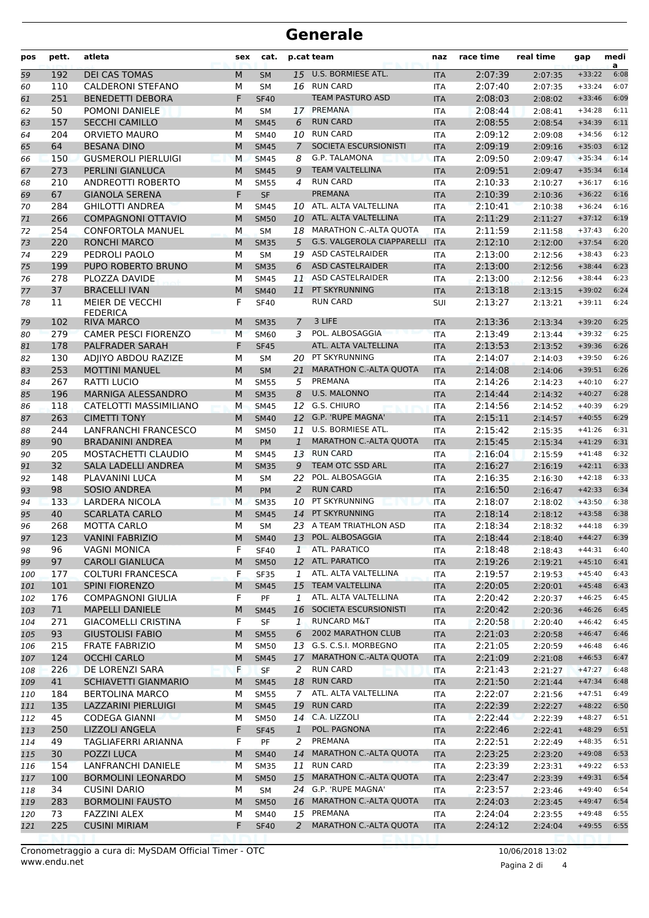## **Generale**

| pos | pett.           | atleta                      | sex       | cat.        |                | p.cat team                        | naz        | race time | real time | gap      | medi<br>a |
|-----|-----------------|-----------------------------|-----------|-------------|----------------|-----------------------------------|------------|-----------|-----------|----------|-----------|
| 59  | 192             | <b>DEI CAS TOMAS</b>        | M         | <b>SM</b>   |                | 15 U.S. BORMIESE ATL.             | <b>ITA</b> | 2:07:39   | 2:07:35   | $+33:22$ | 6:08      |
| 60  | 110             | <b>CALDERONI STEFANO</b>    | M         | <b>SM</b>   |                | 16 RUN CARD                       | <b>ITA</b> | 2:07:40   | 2:07:35   | $+33:24$ | 6:07      |
| 61  | 251             | <b>BENEDETTI DEBORA</b>     | F         | <b>SF40</b> |                | TEAM PASTURO ASD                  | <b>ITA</b> | 2:08:03   | 2:08:02   | $+33:46$ | 6:09      |
| 62  | 50              | POMONI DANIELE              | М         | <b>SM</b>   | 17             | PREMANA                           | <b>ITA</b> | 2:08:44   | 2:08:41   | $+34:28$ | 6:11      |
| 63  | 157             | <b>SECCHI CAMILLO</b>       | M         | <b>SM45</b> | 6              | <b>RUN CARD</b>                   | <b>ITA</b> | 2:08:55   | 2:08:54   | $+34:39$ | 6:11      |
| 64  | 204             | <b>ORVIETO MAURO</b>        | М         | <b>SM40</b> | 10             | <b>RUN CARD</b>                   | <b>ITA</b> | 2:09:12   | 2:09:08   | $+34:56$ | 6:12      |
| 65  | 64              | <b>BESANA DINO</b>          | M         | <b>SM45</b> | $\overline{7}$ | SOCIETA ESCURSIONISTI             | <b>ITA</b> | 2:09:19   | 2:09:16   | $+35:03$ | 6:12      |
| 66  | 150             | <b>GUSMEROLI PIERLUIGI</b>  | M         | <b>SM45</b> | 8              | <b>G.P. TALAMONA</b>              | <b>ITA</b> | 2:09:50   | 2:09:47   | $+35:34$ | 6:14      |
| 67  | 273             | <b>PERLINI GIANLUCA</b>     | M         | <b>SM45</b> | 9              | <b>TEAM VALTELLINA</b>            | <b>ITA</b> | 2:09:51   | 2:09:47   | $+35:34$ | 6:14      |
| 68  | 210             | ANDREOTTI ROBERTO           | М         | <b>SM55</b> | 4              | <b>RUN CARD</b>                   | <b>ITA</b> | 2:10:33   | 2:10:27   | $+36:17$ | 6:16      |
| 69  | 67              | <b>GIANOLA SERENA</b>       | F         | <b>SF</b>   |                | <b>PREMANA</b>                    | <b>ITA</b> | 2:10:39   | 2:10:36   | $+36:22$ | 6:16      |
| 70  | 284             | <b>GHILOTTI ANDREA</b>      | М         | <b>SM45</b> |                | 10 ATL. ALTA VALTELLINA           | <b>ITA</b> | 2:10:41   | 2:10:38   | $+36:24$ | 6:16      |
| 71  | 266             | <b>COMPAGNONI OTTAVIO</b>   | M         | <b>SM50</b> | 10             | ATL. ALTA VALTELLINA              | <b>ITA</b> | 2:11:29   | 2:11:27   | $+37:12$ | 6:19      |
| 72  | 254             | <b>CONFORTOLA MANUEL</b>    | M         | <b>SM</b>   |                | 18 MARATHON C.-ALTA QUOTA         | <b>ITA</b> | 2:11:59   | 2:11:58   | $+37:43$ | 6:20      |
| 73  | 220             | <b>RONCHI MARCO</b>         | M         | <b>SM35</b> | 5              | <b>G.S. VALGEROLA CIAPPARELLI</b> | <b>ITA</b> | 2:12:10   | 2:12:00   | $+37:54$ | 6:20      |
| 74  | 229             | PEDROLI PAOLO               | М         | <b>SM</b>   | 19             | <b>ASD CASTELRAIDER</b>           | <b>ITA</b> | 2:13:00   | 2:12:56   | $+38:43$ | 6:23      |
| 75  | 199             | PUPO ROBERTO BRUNO          | M         | <b>SM35</b> | 6              | <b>ASD CASTELRAIDER</b>           | <b>ITA</b> | 2:13:00   | 2:12:56   | $+38:44$ | 6:23      |
| 76  | 278             | PLOZZA DAVIDE               | М         | <b>SM45</b> | 11             | <b>ASD CASTELRAIDER</b>           | <b>ITA</b> | 2:13:00   | 2:12:56   | $+38:44$ | 6:23      |
| 77  | 37              | <b>BRACELLI IVAN</b>        | M         | <b>SM40</b> | 11             | PT SKYRUNNING                     | <b>ITA</b> | 2:13:18   | 2:13:15   | $+39:02$ | 6:24      |
| 78  | 11              | MEIER DE VECCHI             | F         | <b>SF40</b> |                | <b>RUN CARD</b>                   | SUI        | 2:13:27   | 2:13:21   | $+39:11$ | 6:24      |
|     |                 | <b>FEDERICA</b>             |           |             |                |                                   |            |           |           |          |           |
| 79  | 102             | <b>RIVA MARCO</b>           | M         | <b>SM35</b> | 7              | 3 LIFE                            | <b>ITA</b> | 2:13:36   | 2:13:34   | $+39:20$ | 6:25      |
| 80  | 279             | <b>CAMER PESCI FIORENZO</b> | M         | <b>SM60</b> | 3              | POL. ALBOSAGGIA                   | <b>ITA</b> | 2:13:49   | 2:13:44   | $+39:32$ | 6:25      |
| 81  | 178             | PALFRADER SARAH             | F         | <b>SF45</b> |                | ATL. ALTA VALTELLINA              | <b>ITA</b> | 2:13:53   | 2:13:52   | $+39:36$ | 6:26      |
| 82  | 130             | ADJIYO ABDOU RAZIZE         | M         | <b>SM</b>   | 20             | PT SKYRUNNING                     | <b>ITA</b> | 2:14:07   | 2:14:03   | $+39:50$ | 6:26      |
| 83  | 253             | <b>MOTTINI MANUEL</b>       | M         | <b>SM</b>   | 21             | <b>MARATHON C.-ALTA QUOTA</b>     | <b>ITA</b> | 2:14:08   | 2:14:06   | $+39:51$ | 6:26      |
| 84  | 267             | RATTI LUCIO                 | М         | <b>SM55</b> | 5              | PREMANA                           | <b>ITA</b> | 2:14:26   | 2:14:23   | $+40:10$ | 6:27      |
| 85  | 196             | MARNIGA ALESSANDRO          | M         | <b>SM35</b> | 8              | <b>U.S. MALONNO</b>               | <b>ITA</b> | 2:14:44   | 2:14:32   | $+40:27$ | 6:28      |
| 86  | 118             | CATELOTTI MASSIMILIANO      | M         | <b>SM45</b> | 12             | G.S. CHIURO                       | <b>ITA</b> | 2:14:56   | 2:14:52   | $+40:39$ | 6:29      |
| 87  | 263             | <b>CIMETTI TONY</b>         | M         | <b>SM40</b> | 12             | G.P. 'RUPE MAGNA'                 | <b>ITA</b> | 2:15:11   | 2:14:57   | $+40:55$ | 6:29      |
| 88  | 244             | <b>LANFRANCHI FRANCESCO</b> | M         | <b>SM50</b> | 11             | U.S. BORMIESE ATL.                | <b>ITA</b> | 2:15:42   | 2:15:35   | $+41:26$ | 6:31      |
| 89  | 90              | <b>BRADANINI ANDREA</b>     | M         | <b>PM</b>   | $\mathbf{1}$   | MARATHON C.-ALTA QUOTA            | <b>ITA</b> | 2:15:45   | 2:15:34   | $+41:29$ | 6:31      |
| 90  | 205             | MOSTACHETTI CLAUDIO         | М         | <b>SM45</b> | 13             | <b>RUN CARD</b>                   | <b>ITA</b> | 2:16:04   | 2:15:59   | $+41:48$ | 6:32      |
| 91  | 32              | SALA LADELLI ANDREA         | M         | <b>SM35</b> | 9              | TEAM OTC SSD ARL                  | <b>ITA</b> | 2:16:27   | 2:16:19   | $+42:11$ | 6:33      |
| 92  | 148             | PLAVANINI LUCA              | М         | <b>SM</b>   | 22             | POL. ALBOSAGGIA                   | <b>ITA</b> | 2:16:35   | 2:16:30   | $+42:18$ | 6:33      |
| 93  | 98              | <b>SOSIO ANDREA</b>         | M         | PM          | 2              | <b>RUN CARD</b>                   | <b>ITA</b> | 2:16:50   | 2:16:47   | $+42:33$ | 6:34      |
| 94  | 133             | <b>LARDERA NICOLA</b>       | M         | <b>SM35</b> | 10             | PT SKYRUNNING                     | <b>ITA</b> | 2:18:07   | 2:18:02   | $+43:50$ | 6:38      |
| 95  | 40              | <b>SCARLATA CARLO</b>       | M         | <b>SM45</b> | 14             | PT SKYRUNNING                     | <b>ITA</b> | 2:18:14   | 2:18:12   | $+43:58$ | 6:38      |
| 96  | 268             | <b>MOTTA CARLO</b>          | М         | <b>SM</b>   |                | 23 A TEAM TRIATHLON ASD           | <b>ITA</b> | 2:18:34   | 2:18:32   | $+44:18$ | 6:39      |
| 97  | 123             | <b>VANINI FABRIZIO</b>      | ${\sf M}$ | <b>SM40</b> |                | 13 POL. ALBOSAGGIA                | <b>ITA</b> | 2:18:44   | 2:18:40   | $+44:27$ | 6:39      |
| 98  | 96              | <b>VAGNI MONICA</b>         | F         | <b>SF40</b> | $\mathbf{1}$   | ATL. PARATICO                     | ITA        | 2:18:48   | 2:18:43   | $+44:31$ | 6:40      |
| 99  | 97              | <b>CAROLI GIANLUCA</b>      | M         | <b>SM50</b> | 12             | ATL. PARATICO                     | <b>ITA</b> | 2:19:26   | 2:19:21   | $+45:10$ | 6:41      |
| 100 | 177             | <b>COLTURI FRANCESCA</b>    | F         | <b>SF35</b> | 1              | ATL. ALTA VALTELLINA              | ITA        | 2:19:57   | 2:19:53   | $+45:40$ | 6:43      |
| 101 | 101             | <b>SPINI FIORENZO</b>       | M         | <b>SM45</b> |                | 15 TEAM VALTELLINA                | <b>ITA</b> | 2:20:05   | 2:20:01   | $+45:48$ | 6:43      |
| 102 | 176             | <b>COMPAGNONI GIULIA</b>    | F         | PF          | 1              | ATL. ALTA VALTELLINA              | ITA        | 2:20:42   | 2:20:37   | $+46:25$ | 6:45      |
| 103 | 71              | <b>MAPELLI DANIELE</b>      | M         | <b>SM45</b> |                | 16 SOCIETA ESCURSIONISTI          | <b>ITA</b> | 2:20:42   | 2:20:36   | $+46:26$ | 6:45      |
| 104 | 271             | <b>GIACOMELLI CRISTINA</b>  | F         | SF          | 1              | <b>RUNCARD M&amp;T</b>            | <b>ITA</b> | 2:20:58   | 2:20:40   | $+46:42$ | 6:45      |
| 105 | 93              | <b>GIUSTOLISI FABIO</b>     | M         | <b>SM55</b> | 6              | 2002 MARATHON CLUB                | <b>ITA</b> | 2:21:03   | 2:20:58   | $+46:47$ | 6:46      |
| 106 | 215             | <b>FRATE FABRIZIO</b>       | М         | <b>SM50</b> |                | 13 G.S. C.S.I. MORBEGNO           | ITA        | 2:21:05   | 2:20:59   | $+46:48$ | 6:46      |
| 107 | 124             | <b>OCCHI CARLO</b>          | M         | <b>SM45</b> | 17             | <b>MARATHON C.-ALTA QUOTA</b>     | <b>ITA</b> | 2:21:09   | 2:21:08   | $+46:53$ | 6:47      |
| 108 | 226             | DE LORENZI SARA             | F         | <b>SF</b>   | 2              | <b>RUN CARD</b>                   | <b>ITA</b> | 2:21:43   | 2:21:27   | $+47:27$ | 6:48      |
| 109 | 41              | SCHIAVETTI GIANMARIO        | M         | <b>SM45</b> | 18             | <b>RUN CARD</b>                   | <b>ITA</b> | 2:21:50   | 2:21:44   | $+47:34$ | 6:48      |
| 110 | 184             | <b>BERTOLINA MARCO</b>      | М         | <b>SM55</b> | $\overline{7}$ | ATL. ALTA VALTELLINA              | ITA        | 2:22:07   | 2:21:56   | $+47:51$ | 6:49      |
| 111 | 135             | LAZZARINI PIERLUIGI         | M         | <b>SM45</b> | 19             | <b>RUN CARD</b>                   | <b>ITA</b> | 2:22:39   | 2:22:27   | $+48:22$ | 6:50      |
| 112 | 45              | <b>CODEGA GIANNI</b>        | М         | <b>SM50</b> |                | 14 C.A. LIZZOLI                   | ITA        | 2:22:44   | 2:22:39   | $+48:27$ | 6:51      |
| 113 | 250             | LIZZOLI ANGELA              | F         | <b>SF45</b> | $\mathbf{1}$   | POL. PAGNONA                      | <b>ITA</b> | 2:22:46   | 2:22:41   | $+48:29$ | 6:51      |
| 114 | 49              | TAGLIAFERRI ARIANNA         | F.        | PF          | 2              | PREMANA                           | <b>ITA</b> | 2:22:51   | 2:22:49   | $+48:35$ | 6:51      |
| 115 | 30 <sub>o</sub> | POZZI LUCA                  | M         | <b>SM40</b> | 14             | MARATHON C.-ALTA QUOTA            | <b>ITA</b> | 2:23:25   | 2:23:20   | $+49:08$ | 6:53      |
| 116 | 154             | <b>LANFRANCHI DANIELE</b>   | M         | <b>SM35</b> | 11             | <b>RUN CARD</b>                   | ITA        | 2:23:39   | 2:23:31   | $+49:22$ | 6:53      |
| 117 | 100             | <b>BORMOLINI LEONARDO</b>   | M         | <b>SM50</b> | 15             | MARATHON C.-ALTA QUOTA            | <b>ITA</b> | 2:23:47   | 2:23:39   | $+49:31$ | 6:54      |
| 118 | 34              | <b>CUSINI DARIO</b>         | М         | <b>SM</b>   |                | 24 G.P. 'RUPE MAGNA'              | ITA        | 2:23:57   | 2:23:46   | $+49:40$ | 6:54      |
| 119 | 283             | <b>BORMOLINI FAUSTO</b>     | M         | <b>SM50</b> | 16             | MARATHON C .- ALTA QUOTA          | <b>ITA</b> | 2:24:03   | 2:23:45   | $+49:47$ | 6:54      |
| 120 | 73              | <b>FAZZINI ALEX</b>         | М         | <b>SM40</b> |                | 15 PREMANA                        | ITA        | 2:24:04   | 2:23:55   | $+49:48$ | 6:55      |
| 121 | 225             | <b>CUSINI MIRIAM</b>        | F         | <b>SF40</b> | 2              | <b>MARATHON C.-ALTA QUOTA</b>     | <b>ITA</b> | 2:24:12   | 2:24:04   | $+49:55$ | 6:55      |
|     |                 |                             |           |             |                |                                   |            |           |           |          |           |

Pagina 2 di 4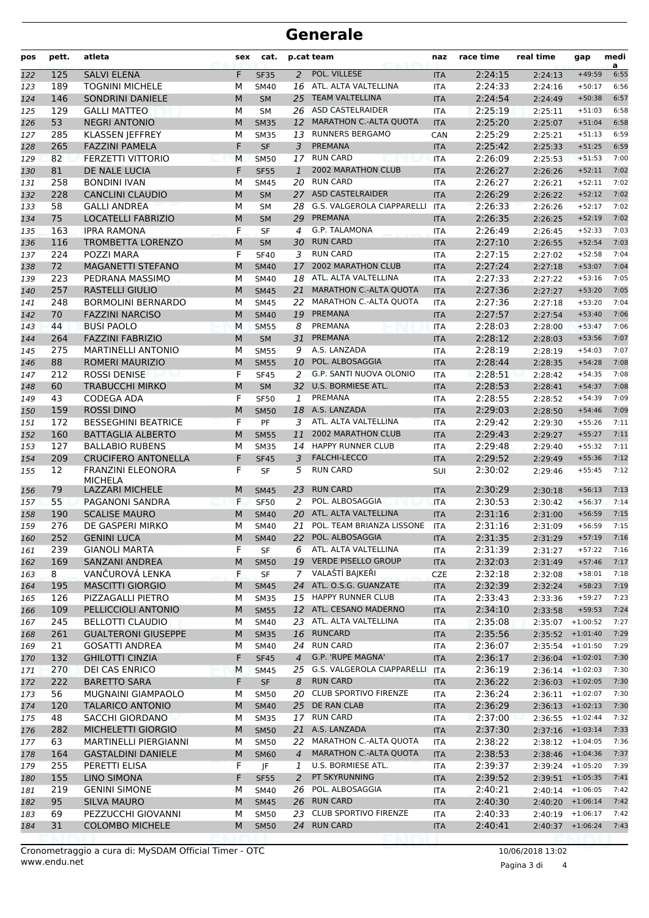## **Generale**

| pos        | pett.      | atleta                                 | sex    | cat.                     |                | p.cat team                        | naz                      | race time          | real time           | gap                  | medi<br>a    |
|------------|------------|----------------------------------------|--------|--------------------------|----------------|-----------------------------------|--------------------------|--------------------|---------------------|----------------------|--------------|
| 122        | 125        | <b>SALVI ELENA</b>                     | F      | <b>SF35</b>              | $\overline{2}$ | POL. VILLESE                      | <b>ITA</b>               | 2:24:15            | 2:24:13             | $+49:59$             | 6:55         |
| 123        | 189        | <b>TOGNINI MICHELE</b>                 | М      | SM40                     |                | 16 ATL. ALTA VALTELLINA           | <b>ITA</b>               | 2:24:33            | 2:24:16             | $+50:17$             | 6:56         |
| 124        | 146        | <b>SONDRINI DANIELE</b>                | M      | <b>SM</b>                | 25             | <b>TEAM VALTELLINA</b>            | <b>ITA</b>               | 2:24:54            | 2:24:49             | $+50:38$             | 6:57         |
| 125        | 129        | <b>GALLI MATTEO</b>                    | M      | <b>SM</b>                |                | 26 ASD CASTELRAIDER               | <b>ITA</b>               | 2:25:19            | 2:25:11             | $+51:03$             | 6:58         |
| 126        | 53         | <b>NEGRI ANTONIO</b>                   | M      | <b>SM35</b>              | 12             | <b>MARATHON C.-ALTA QUOTA</b>     | <b>ITA</b>               | 2:25:20            | 2:25:07             | $+51:04$             | 6:58         |
| 127        | 285        | <b>KLASSEN JEFFREY</b>                 | M      | <b>SM35</b>              |                | 13 RUNNERS BERGAMO                | CAN                      | 2:25:29            | 2:25:21             | $+51:13$             | 6:59         |
| 128        | 265        | <b>FAZZINI PAMELA</b>                  | F      | <b>SF</b>                | 3              | <b>PREMANA</b>                    | <b>ITA</b>               | 2:25:42            | 2:25:33             | $+51:25$             | 6:59         |
| 129        | 82         | <b>FERZETTI VITTORIO</b>               | М      | <b>SM50</b>              | 17             | <b>RUN CARD</b>                   | <b>ITA</b>               | 2:26:09            | 2:25:53             | $+51:53$             | 7:00         |
| 130        | 81         | DE NALE LUCIA                          | F      | <b>SF55</b>              | $\mathbf{1}$   | <b>2002 MARATHON CLUB</b>         | <b>ITA</b>               | 2:26:27            | 2:26:26             | $+52:11$             | 7:02         |
| 131        | 258        | <b>BONDINI IVAN</b>                    | M      | <b>SM45</b>              | 20             | <b>RUN CARD</b>                   | <b>ITA</b>               | 2:26:27            | 2:26:21             | $+52:11$             | 7:02         |
| 132        | 228        | <b>CANCLINI CLAUDIO</b>                | M      | <b>SM</b>                | 27             | <b>ASD CASTELRAIDER</b>           | <b>ITA</b>               | 2:26:29            | 2:26:22             | $+52:12$             | 7:02         |
| 133        | 58         | <b>GALLI ANDREA</b>                    | М      | <b>SM</b>                | 28             | <b>G.S. VALGEROLA CIAPPARELLI</b> | <b>ITA</b>               | 2:26:33            | 2:26:26             | $+52:17$             | 7:02         |
| 134        | 75         | <b>LOCATELLI FABRIZIO</b>              | M      | <b>SM</b>                | 29             | PREMANA<br>G.P. TALAMONA          | <b>ITA</b>               | 2:26:35            | 2:26:25             | $+52:19$             | 7:02<br>7:03 |
| 135        | 163        | <b>IPRA RAMONA</b>                     | F<br>M | SF                       | 4<br>30        | <b>RUN CARD</b>                   | <b>ITA</b>               | 2:26:49<br>2:27:10 | 2:26:45             | $+52:33$<br>$+52:54$ | 7:03         |
| 136        | 116<br>224 | <b>TROMBETTA LORENZO</b><br>POZZI MARA | F      | <b>SM</b><br><b>SF40</b> | 3              | <b>RUN CARD</b>                   | <b>ITA</b><br><b>ITA</b> | 2:27:15            | 2:26:55             | $+52:58$             | 7:04         |
| 137        | 72         | <b>MAGANETTI STEFANO</b>               | M      | <b>SM40</b>              | 17             | <b>2002 MARATHON CLUB</b>         | <b>ITA</b>               | 2:27:24            | 2:27:02             | $+53:07$             | 7:04         |
| 138<br>139 | 223        | PEDRANA MASSIMO                        | М      | <b>SM40</b>              |                | 18 ATL. ALTA VALTELLINA           | <b>ITA</b>               | 2:27:33            | 2:27:18<br>2:27:22  | $+53:16$             | 7:05         |
| 140        | 257        | <b>RASTELLI GIULIO</b>                 | M      | <b>SM45</b>              | 21             | <b>MARATHON C.-ALTA QUOTA</b>     | <b>ITA</b>               | 2:27:36            | 2:27:27             | $+53:20$             | 7:05         |
| 141        | 248        | <b>BORMOLINI BERNARDO</b>              | М      | <b>SM45</b>              |                | 22 MARATHON C.-ALTA QUOTA         | <b>ITA</b>               | 2:27:36            | 2:27:18             | $+53:20$             | 7:04         |
| 142        | 70         | <b>FAZZINI NARCISO</b>                 | M      | <b>SM40</b>              | 19             | PREMANA                           | <b>ITA</b>               | 2:27:57            | 2:27:54             | $+53:40$             | 7:06         |
| 143        | 44         | <b>BUSI PAOLO</b>                      | M      | <b>SM55</b>              | 8              | PREMANA                           | <b>ITA</b>               | 2:28:03            | 2:28:00             | $+53:47$             | 7:06         |
| 144        | 264        | <b>FAZZINI FABRIZIO</b>                | M      | <b>SM</b>                | 31             | <b>PREMANA</b>                    | <b>ITA</b>               | 2:28:12            | 2:28:03             | $+53:56$             | 7:07         |
| 145        | 275        | <b>MARTINELLI ANTONIO</b>              | М      | <b>SM55</b>              | 9              | A.S. LANZADA                      | <b>ITA</b>               | 2:28:19            | 2:28:19             | $+54:03$             | 7:07         |
| 146        | 88         | <b>ROMERI MAURIZIO</b>                 | M      | <b>SM55</b>              | 10             | POL. ALBOSAGGIA                   | <b>ITA</b>               | 2:28:44            | 2:28:35             | $+54:28$             | 7:08         |
| 147        | 212        | <b>ROSSI DENISE</b>                    | F      | <b>SF45</b>              | 2              | G.P. SANTI NUOVA OLONIO           | <b>ITA</b>               | 2:28:51            | 2:28:42             | $+54:35$             | 7:08         |
| 148        | 60         | <b>TRABUCCHI MIRKO</b>                 | M      | <b>SM</b>                | 32             | U.S. BORMIESE ATL.                | <b>ITA</b>               | 2:28:53            | 2:28:41             | $+54:37$             | 7:08         |
| 149        | 43         | <b>CODEGA ADA</b>                      | F      | <b>SF50</b>              | 1              | PREMANA                           | <b>ITA</b>               | 2:28:55            | 2:28:52             | $+54:39$             | 7:09         |
| 150        | 159        | <b>ROSSI DINO</b>                      | M      | <b>SM50</b>              | 18             | A.S. LANZADA                      | <b>ITA</b>               | 2:29:03            | 2:28:50             | $+54:46$             | 7:09         |
| 151        | 172        | <b>BESSEGHINI BEATRICE</b>             | F      | PF                       | 3              | ATL. ALTA VALTELLINA              | <b>ITA</b>               | 2:29:42            | 2:29:30             | $+55:26$             | 7:11         |
| 152        | 160        | <b>BATTAGLIA ALBERTO</b>               | M      | <b>SM55</b>              | 11             | <b>2002 MARATHON CLUB</b>         | <b>ITA</b>               | 2:29:43            | 2:29:27             | $+55:27$             | 7:11         |
| 153        | 127        | <b>BALLABIO RUBENS</b>                 | М      | <b>SM35</b>              |                | 14 HAPPY RUNNER CLUB              | <b>ITA</b>               | 2:29:48            | 2:29:40             | $+55:32$             | 7:11         |
| 154        | 209        | <b>CRUCIFERO ANTONELLA</b>             | F      | <b>SF45</b>              | 3              | <b>FALCHI-LECCO</b>               | <b>ITA</b>               | 2:29:52            | 2:29:49             | $+55:36$             | 7:12         |
| 155        | 12         | <b>FRANZINI ELEONORA</b>               | F      | <b>SF</b>                | 5              | <b>RUN CARD</b>                   | SUI                      | 2:30:02            | 2:29:46             | $+55:45$             | 7:12         |
| 156        | 79         | <b>MICHELA</b><br>LAZZARI MICHELE      | M      | <b>SM45</b>              | 23             | <b>RUN CARD</b>                   | <b>ITA</b>               | 2:30:29            | 2:30:18             | $+56:13$             | 7:13         |
| 157        | 55         | PAGANONI SANDRA                        | F      | <b>SF50</b>              | $\overline{2}$ | POL. ALBOSAGGIA                   | <b>ITA</b>               | 2:30:53            | 2:30:42             | $+56:37$             | 7:14         |
| 158        | 190        | <b>SCALISE MAURO</b>                   | M      | <b>SM40</b>              | 20             | ATL. ALTA VALTELLINA              | <b>ITA</b>               | 2:31:16            | 2:31:00             | $+56:59$             | 7:15         |
| 159        | 276        | DE GASPERI MIRKO                       | м      | <b>SM40</b>              |                | 21 POL. TEAM BRIANZA LISSONE      | <b>ITA</b>               | 2:31:16            | 2:31:09             | $+56:59$             | 7:15         |
| 160        | 252        | <b>GENINI LUCA</b>                     | M      | <b>SM40</b>              |                | 22 POL. ALBOSAGGIA                | <b>ITA</b>               | 2:31:35            | 2:31:29             | $+57:19$             | 7:16         |
| 161        | 239        | <b>GIANOLI MARTA</b>                   | F      | SF                       |                | 6 ATL. ALTA VALTELLINA            | ITA                      | 2:31:39            | 2:31:27             | $+57:22$             | 7:16         |
| 162        | 169        | SANZANI ANDREA                         | M      | <b>SM50</b>              | 19             | <b>VERDE PISELLO GROUP</b>        | <b>ITA</b>               | 2:32:03            | 2:31:49             | $+57:46$             | 7:17         |
| 163        | 8          | VANČUROVÁ LENKA                        | F      | <b>SF</b>                | 7              | VALAŠTÍ BAJKEŘI                   | <b>CZE</b>               | 2:32:18            | 2:32:08             | $+58:01$             | 7:18         |
| 164        | 195        | <b>MASCITTI GIORGIO</b>                | M      | <b>SM45</b>              |                | 24 ATL. O.S.G. GUANZATE           | <b>ITA</b>               | 2:32:39            | 2:32:24             | $+58:23$             | 7:19         |
| 165        | 126        | PIZZAGALLI PIETRO                      | М      | <b>SM35</b>              |                | 15 HAPPY RUNNER CLUB              | ITA                      | 2:33:43            | 2:33:36             | $+59:27$             | 7:23         |
| 166        | 109        | PELLICCIOLI ANTONIO                    | M      | <b>SM55</b>              |                | 12 ATL. CESANO MADERNO            | <b>ITA</b>               | 2:34:10            | 2:33:58             | $+59:53$             | 7:24         |
| 167        | 245        | <b>BELLOTTI CLAUDIO</b>                | М      | <b>SM40</b>              |                | 23 ATL. ALTA VALTELLINA           | ITA                      | 2:35:08            | $2:35:07$ +1:00:52  |                      | 7:27         |
| 168        | 261        | <b>GUALTERONI GIUSEPPE</b>             | M      | <b>SM35</b>              | 16             | <b>RUNCARD</b>                    | <b>ITA</b>               | 2:35:56            | $2:35:52 + 1:01:40$ |                      | 7:29         |
| 169        | 21         | <b>GOSATTI ANDREA</b>                  | М      | <b>SM40</b>              |                | 24 RUN CARD                       | ITA                      | 2:36:07            | $2:35:54$ +1:01:50  |                      | 7:29         |
| 170        | 132        | <b>GHILOTTI CINZIA</b>                 | F      | <b>SF45</b>              | $\overline{4}$ | G.P. 'RUPE MAGNA'                 | <b>ITA</b>               | 2:36:17            | $2:36:04$ +1:02:01  |                      | 7:30         |
| 171        | 270        | DEI CAS ENRICO                         | M      | <b>SM45</b>              |                | 25 G.S. VALGEROLA CIAPPARELLI     | <b>ITA</b>               | 2:36:19            | $2:36:14$ +1:02:03  |                      | 7:30         |
| 172        | 222        | <b>BARETTO SARA</b>                    | F      | SF                       | 8              | <b>RUN CARD</b>                   | <b>ITA</b>               | 2:36:22            | $2:36:03$ +1:02:05  |                      | 7:30         |
| 173        | 56         | MUGNAINI GIAMPAOLO                     | М      | <b>SM50</b>              | 20             | <b>CLUB SPORTIVO FIRENZE</b>      | ITA                      | 2:36:24            | $2:36:11$ +1:02:07  |                      | 7:30         |
| 174        | 120        | <b>TALARICO ANTONIO</b>                | M      | <b>SM40</b>              | 25             | DE RAN CLAB                       | <b>ITA</b>               | 2:36:29            | $2:36:13 + 1:02:13$ |                      | 7:30         |
| 175        | 48         | SACCHI GIORDANO                        | М      | <b>SM35</b>              |                | 17 RUN CARD                       | ITA                      | 2:37:00            | $2:36:55$ +1:02:44  |                      | 7:32         |
| 176        | 282        | MICHELETTI GIORGIO                     | M      | <b>SM50</b>              |                | 21 A.S. LANZADA                   | <b>ITA</b>               | 2:37:30            | $2:37:16$ +1:03:14  |                      | 7:33         |
| 177        | 63         | <b>MARTINELLI PIERGIANNI</b>           | М      | <b>SM50</b>              |                | 22 MARATHON C.-ALTA QUOTA         | ITA                      | 2:38:22            | $2:38:12$ +1:04:05  |                      | 7:36         |
| 178        | 164        | <b>GASTALDINI DANIELE</b>              | М      | <b>SM60</b>              | $\overline{4}$ | <b>MARATHON C.-ALTA QUOTA</b>     | <b>ITA</b>               | 2:38:53            | $2:38:46$ +1:04:36  |                      | 7:37         |
| 179        | 255        | PERETTI ELISA                          | F      | JF                       | 1              | U.S. BORMIESE ATL.                | ITA                      | 2:39:37            | $2:39:24$ +1:05:20  |                      | 7:39         |
| 180        | 155        | <b>LINO SIMONA</b>                     | F      | <b>SF55</b>              | 2              | PT SKYRUNNING                     | <b>ITA</b>               | 2:39:52            | $2:39:51$ +1:05:35  |                      | 7:41         |
| 181        | 219        | <b>GENINI SIMONE</b>                   | М      | SM40                     | 26             | POL. ALBOSAGGIA                   | ITA                      | 2:40:21            | $2:40:14$ +1:06:05  |                      | 7:42         |
| 182        | 95         | <b>SILVA MAURO</b>                     | M      | <b>SM45</b>              | 26             | <b>RUN CARD</b>                   | <b>ITA</b>               | 2:40:30            | $2:40:20$ +1:06:14  |                      | 7:42         |
| 183        | 69         | PEZZUCCHI GIOVANNI                     | М      | <b>SM50</b>              | 23             | <b>CLUB SPORTIVO FIRENZE</b>      | ITA                      | 2:40:33            | $2:40:19$ +1:06:17  |                      | 7:42         |
| 184        | 31         | <b>COLOMBO MICHELE</b>                 | М      | <b>SM50</b>              |                | 24 RUN CARD                       | <b>ITA</b>               | 2:40:41            | $2:40:37$ +1:06:24  |                      | 7:43         |
|            |            |                                        |        |                          |                |                                   |                          |                    |                     |                      |              |

Pagina 3 di 4